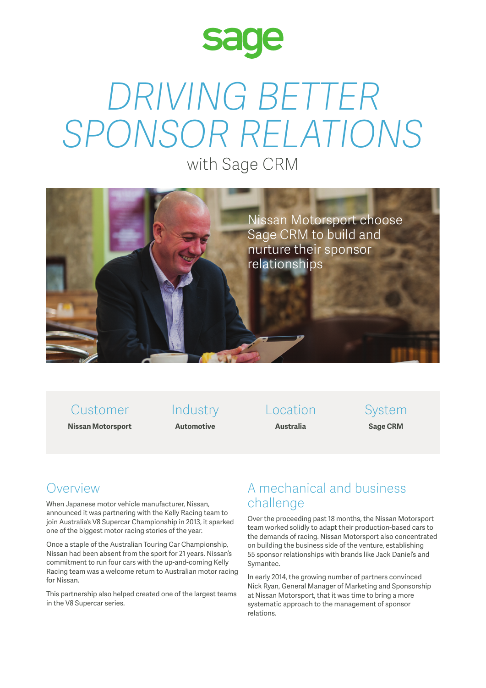

# *DRIVING BETTER SPONSOR RELATIONS*

with Sage CRM



# Customer

**Nissan Motorsport**

Industry **Automotive**

Location **Australia**

System **Sage CRM**

## Overview

When Japanese motor vehicle manufacturer, Nissan, announced it was partnering with the Kelly Racing team to join Australia's V8 Supercar Championship in 2013, it sparked one of the biggest motor racing stories of the year.

Once a staple of the Australian Touring Car Championship, Nissan had been absent from the sport for 21 years. Nissan's commitment to run four cars with the up-and-coming Kelly Racing team was a welcome return to Australian motor racing for Nissan.

This partnership also helped created one of the largest teams in the V8 Supercar series.

### A mechanical and business challenge

Over the proceeding past 18 months, the Nissan Motorsport team worked solidly to adapt their production-based cars to the demands of racing. Nissan Motorsport also concentrated on building the business side of the venture, establishing 55 sponsor relationships with brands like Jack Daniel's and Symantec.

In early 2014, the growing number of partners convinced Nick Ryan, General Manager of Marketing and Sponsorship at Nissan Motorsport, that it was time to bring a more systematic approach to the management of sponsor relations.